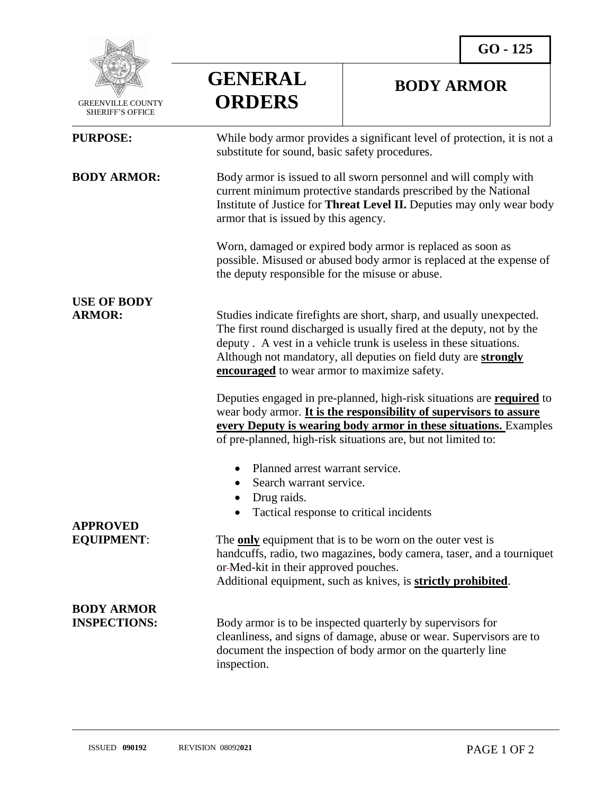

 GREENVILLE COUNTY SHERIFF'S OFFICE

## **GENERAL ORDERS**

## **BODY ARMOR**

| <b>PURPOSE:</b>                          | While body armor provides a significant level of protection, it is not a<br>substitute for sound, basic safety procedures.                                                                                                                                                                                                                    |
|------------------------------------------|-----------------------------------------------------------------------------------------------------------------------------------------------------------------------------------------------------------------------------------------------------------------------------------------------------------------------------------------------|
| <b>BODY ARMOR:</b>                       | Body armor is issued to all sworn personnel and will comply with<br>current minimum protective standards prescribed by the National<br>Institute of Justice for Threat Level II. Deputies may only wear body<br>armor that is issued by this agency.                                                                                          |
|                                          | Worn, damaged or expired body armor is replaced as soon as<br>possible. Misused or abused body armor is replaced at the expense of<br>the deputy responsible for the misuse or abuse.                                                                                                                                                         |
| <b>USE OF BODY</b><br><b>ARMOR:</b>      | Studies indicate firefights are short, sharp, and usually unexpected.<br>The first round discharged is usually fired at the deputy, not by the<br>deputy. A vest in a vehicle trunk is useless in these situations.<br>Although not mandatory, all deputies on field duty are strongly<br><b>encouraged</b> to wear armor to maximize safety. |
|                                          | Deputies engaged in pre-planned, high-risk situations are <b>required</b> to<br>wear body armor. It is the responsibility of supervisors to assure<br>every Deputy is wearing body armor in these situations. Examples<br>of pre-planned, high-risk situations are, but not limited to:                                                       |
|                                          | Planned arrest warrant service.<br>Search warrant service.<br>$\bullet$<br>Drug raids.<br>Tactical response to critical incidents                                                                                                                                                                                                             |
| <b>APPROVED</b><br><b>EQUIPMENT:</b>     | The <b>only</b> equipment that is to be worn on the outer vest is<br>handcuffs, radio, two magazines, body camera, taser, and a tourniquet<br>or-Med-kit in their approved pouches<br>Additional equipment, such as knives, is <b>strictly prohibited</b> .                                                                                   |
| <b>BODY ARMOR</b><br><b>INSPECTIONS:</b> | Body armor is to be inspected quarterly by supervisors for<br>cleanliness, and signs of damage, abuse or wear. Supervisors are to<br>document the inspection of body armor on the quarterly line<br>inspection.                                                                                                                               |